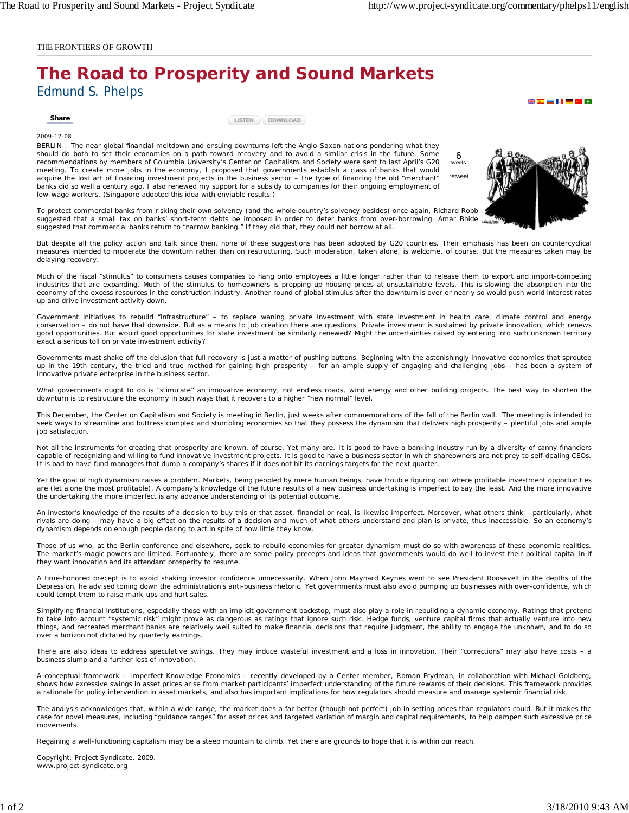THE FRONTIERS OF GROWTH

## **The Road to Prosperity and Sound Markets** Edmund S. Phelps

**Share**

LISTEN CDOWNLOAD

2009-12-08

retweet 6 tweets BERLIN – The near global financial meltdown and ensuing downturns left the Anglo-Saxon nations pondering what they should do both to set their economies on a path toward recovery and to avoid a similar crisis in the future. Some recommendations by members of Columbia University's Center on Capitalism and Society were sent to last April's G20 meeting. To create more jobs in the economy, I proposed that governments establish a class of banks that would acquire the lost art of financing investment projects in the business sector – the type of financing the old "merchant" banks did so well a century ago. I also renewed my support for a subsidy to companies for their ongoing employment of low-wage workers. (Singapore adopted this idea with enviable results.)



\* = = 11 = 11 E

To protect commercial banks from risking their own solvency (and the whole country's solvency besides) once again, Richard Robb suggested that a small tax on banks' short-term debts be imposed in order to deter banks from over-borrowing. Amar Bhide suggested that commercial banks return to "narrow banking." If they did that, they could not borrow at all.

But despite all the policy action and talk since then, none of these suggestions has been adopted by G20 countries. Their emphasis has been on countercyclical measures intended to moderate the downturn rather than on restructuring. Such moderation, taken alone, is welcome, of course. But the measures taken may be delaying recovery.

Much of the fiscal "stimulus" to consumers causes companies to hang onto employees a little longer rather than to release them to export and import-competing industries that are expanding. Much of the stimulus to homeowners is propping up housing prices at unsustainable levels. This is slowing the absorption into the economy of the excess resources in the construction industry. Another round of global stimulus after the downturn is over or nearly so would push world interest rates up and drive investment activity down.

Government initiatives to rebuild "infrastructure" – to replace waning private investment with state investment in health care, climate control and energy conservation – do not have that downside. But as a means to job creation there are questions. Private investment is sustained by private innovation, which renews good opportunities. But would good opportunities for state investment be similarly renewed? Might the uncertainties raised by entering into such unknown territory exact a serious toll on private investment activity?

Governments must shake off the delusion that full recovery is just a matter of pushing buttons. Beginning with the astonishingly innovative economies that sprouted up in the 19th century, the tried and true method for gaining high prosperity – for an ample supply of engaging and challenging jobs – has been a system of innovative private enterprise in the business sector.

What governments ought to do is "stimulate" an innovative economy, not endless roads, wind energy and other building projects. The best way to shorten the downturn is to restructure the economy in such ways that it recovers to a higher "new normal" level.

This December, the Center on Capitalism and Society is meeting in Berlin, just weeks after commemorations of the fall of the Berlin wall. The meeting is intended to seek ways to streamline and buttress complex and stumbling economies so that they possess the dynamism that delivers high prosperity - plentiful jobs and ample job satisfaction.

Not all the instruments for creating that prosperity are known, of course. Yet many are. It is good to have a banking industry run by a diversity of canny financiers capable of recognizing and willing to fund innovative investment projects. It is good to have a business sector in which shareowners are not prey to self-dealing CEOs. It is bad to have fund managers that dump a company's shares if it does not hit its earnings targets for the next quarter.

Yet the goal of high dynamism raises a problem. Markets, being peopled by mere human beings, have trouble figuring out where profitable investment opportunities are (let alone the most profitable). A company's knowledge of the future results of a new business undertaking is imperfect to say the least. And the more innovative the undertaking the more imperfect is any advance understanding of its potential outcome.

An investor's knowledge of the results of a decision to buy this or that asset, financial or real, is likewise imperfect. Moreover, what others think – particularly, what rivals are doing – may have a big effect on the results of a decision and much of what others understand and plan is private, thus inaccessible. So an economy's dynamism depends on enough people daring to act in spite of how little they know.

Those of us who, at the Berlin conference and elsewhere, seek to rebuild economies for greater dynamism must do so with awareness of these economic realities. The market's magic powers are limited. Fortunately, there are some policy precepts and ideas that governments would do well to invest their political capital in if they want innovation and its attendant prosperity to resume.

A time-honored precept is to avoid shaking investor confidence unnecessarily. When John Maynard Keynes went to see President Roosevelt in the depths of the Depression, he advised toning down the administration's anti-business rhetoric. Yet governments must also avoid pumping up businesses with over-confidence, which could tempt them to raise mark-ups and hurt sales.

Simplifying financial institutions, especially those with an implicit government backstop, must also play a role in rebuilding a dynamic economy. Ratings that pretend to take into account "systemic risk" might prove as dangerous as ratings that ignore such risk. Hedge funds, venture capital firms that actually venture into new things, and recreated merchant banks are relatively well suited to make financial decisions that require judgment, the ability to engage the unknown, and to do so over a horizon not dictated by quarterly earnings.

There are also ideas to address speculative swings. They may induce wasteful investment and a loss in innovation. Their "corrections" may also have costs - a business slump and a further loss of innovation.

A conceptual framework – Imperfect Knowledge Economics – recently developed by a Center member, Roman Frydman, in collaboration with Michael Goldberg, shows how excessive swings in asset prices arise from market participants' imperfect understanding of the future rewards of their decisions. This framework provides a rationale for policy intervention in asset markets, and also has important implications for how regulators should measure and manage systemic financial risk.

The analysis acknowledges that, within a wide range, the market does a far better (though not perfect) job in setting prices than regulators could. But it makes the case for novel measures, including "guidance ranges" for asset prices and targeted variation of margin and capital requirements, to help dampen such excessive price movements.

Regaining a well-functioning capitalism may be a steep mountain to climb. Yet there are grounds to hope that it is within our reach.

Copyright: Project Syndicate, 2009. www.project-syndicate.org